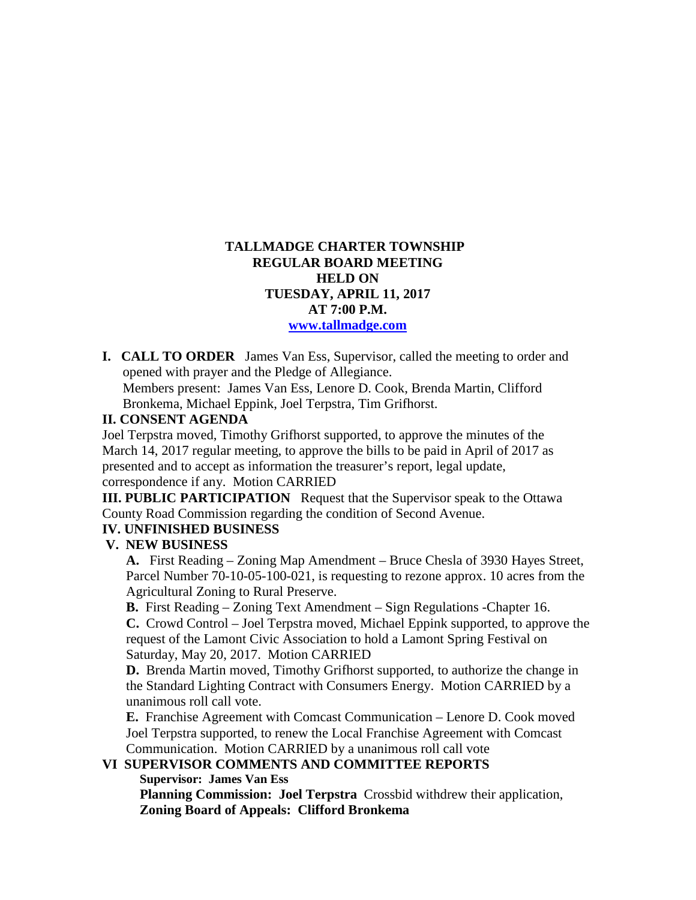## **TALLMADGE CHARTER TOWNSHIP REGULAR BOARD MEETING HELD ON TUESDAY, APRIL 11, 2017 AT 7:00 P.M. [www.tallmadge.com](http://www.tallmadge.com/)**

**I. CALL TO ORDER** James Van Ess, Supervisor, called the meeting to order and opened with prayer and the Pledge of Allegiance. Members present: James Van Ess, Lenore D. Cook, Brenda Martin, Clifford Bronkema, Michael Eppink, Joel Terpstra, Tim Grifhorst.

#### **II. CONSENT AGENDA**

Joel Terpstra moved, Timothy Grifhorst supported, to approve the minutes of the March 14, 2017 regular meeting, to approve the bills to be paid in April of 2017 as presented and to accept as information the treasurer's report, legal update, correspondence if any. Motion CARRIED

**III. PUBLIC PARTICIPATION** Request that the Supervisor speak to the Ottawa County Road Commission regarding the condition of Second Avenue.

#### **IV. UNFINISHED BUSINESS**

#### **V. NEW BUSINESS**

 **A.** First Reading – Zoning Map Amendment – Bruce Chesla of 3930 Hayes Street, Parcel Number 70-10-05-100-021, is requesting to rezone approx. 10 acres from the Agricultural Zoning to Rural Preserve.

 **B.** First Reading – Zoning Text Amendment – Sign Regulations -Chapter 16. **C.** Crowd Control – Joel Terpstra moved, Michael Eppink supported, to approve the request of the Lamont Civic Association to hold a Lamont Spring Festival on Saturday, May 20, 2017. Motion CARRIED

 **D.** Brenda Martin moved, Timothy Grifhorst supported, to authorize the change in the Standard Lighting Contract with Consumers Energy. Motion CARRIED by a unanimous roll call vote.

 **E.** Franchise Agreement with Comcast Communication – Lenore D. Cook moved Joel Terpstra supported, to renew the Local Franchise Agreement with Comcast Communication. Motion CARRIED by a unanimous roll call vote

### **VI SUPERVISOR COMMENTS AND COMMITTEE REPORTS**

 **Supervisor: James Van Ess** 

 **Planning Commission: Joel Terpstra** Crossbid withdrew their application, **Zoning Board of Appeals: Clifford Bronkema**